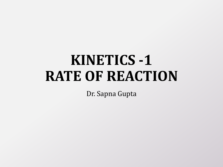# **KINETICS -1 RATE OF REACTION**

Dr. Sapna Gupta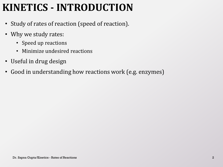# **KINETICS - INTRODUCTION**

- Study of rates of reaction (speed of reaction).
- Why we study rates:
	- Speed up reactions
	- Minimize undesired reactions
- Useful in drug design
- Good in understanding how reactions work (e.g. enzymes)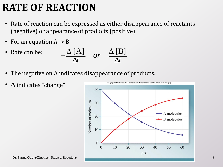### **RATE OF REACTION**

- Rate of reaction can be expressed as either disappearance of reactants (negative) or appearance of products (positive)
- For an equation  $A \rightarrow B$
- Rate can be: B $\Delta \left[ \mathrm{A}\right]$  or  $\Delta \left[ \mathrm{B}\right]$ *or*  $\frac{A}{t}$  or  $\frac{\Delta [F]}{\Delta t}$  $\overline{\phantom{0}}$  $\begin{array}{cc}\n[A] \Delta t & or & \Delta [B] \\
\Delta t & \Delta t & \Delta t\n\end{array}$
- The negative on A indicates disappearance of products.
- $\Delta$  indicates "change"

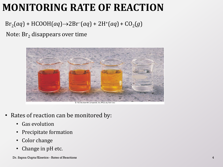### **MONITORING RATE OF REACTION**

#### $Br_2(aq) + HCOOH(aq) \rightarrow 2Br^-(aq) + 2H^+(aq) + CO_2(g)$

Note:  $Br<sub>2</sub>$  disappears over time



- Rates of reaction can be monitored by:
	- Gas evolution
	- Precipitate formation
	- Color change
	- Change in pH etc.

Dr. Sapna Gupta/Kinetics - Rates of Reactions 4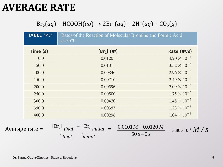### **AVERAGE RATE**

#### $Br_2(aq) + HCOOH(aq) \rightarrow 2Br^{-}(aq) + 2H^{+}(aq) + CO_{2}(g)$

|                  | <b>TABLE 14.1</b> | Rates of the Reaction of Molecular Bromine and Formic Acid<br>at $25^{\circ}$ C                                                   |                            |
|------------------|-------------------|-----------------------------------------------------------------------------------------------------------------------------------|----------------------------|
|                  | Time (s)          | [Br <sub>2</sub> ] (M)                                                                                                            | Rate $(M/s)$               |
|                  | 0.0               | 0.0120                                                                                                                            | $4.20 \times 10^{-5}$      |
|                  | 50.0              | 0.0101                                                                                                                            | $3.52 \times 10^{-5}$      |
|                  | 100.0             | 0.00846                                                                                                                           | $2.96 \times 10^{-5}$      |
|                  | 150.0             | 0.00710                                                                                                                           | $2.49 \times 10^{-5}$      |
|                  | 200.0             | 0.00596                                                                                                                           | $2.09 \times 10^{-5}$      |
|                  | 250.0             | 0.00500                                                                                                                           | $1.75 \times 10^{-5}$      |
|                  | 300.0             | 0.00420                                                                                                                           | $1.48 \times 10^{-5}$      |
|                  | 350.0             | 0.00353                                                                                                                           | $1.23 \times 10^{-5}$      |
|                  | 400.0             | 0.00296                                                                                                                           | $1.04 \times 10^{-5}$      |
| Average rate $=$ |                   | $[\text{Br}_2]$ final<br>$[\text{Br}_2]_{initial}$<br>$0.0101 M - 0.0120 M$<br>$50s - 0s$<br>$\int$ final<br><sup>l</sup> initial | $=3.80\times10^{-5} M / S$ |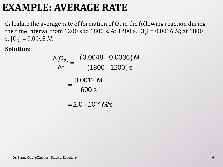### **EXAMPLE: AVERAGE RATE**

Calculate the average rate of formation of  $O_2$  in the following reaction during the time interval from 1200 s to 1800 s. At 1200 s,  $[O_2]$  = 0.0036 *M*; at 1800  $\mathbf{s}$ ,  $\mathbf{[O}_2] = 0.0048 \; M.$ 

$$
\frac{\Delta[O_2]}{\Delta t} = \frac{(0.0048 - 0.0036) M}{(1800 - 1200)s}
$$

$$
= \frac{0.0012 M}{600 s}
$$

$$
= 2.0 \times 10^{-6} M/s
$$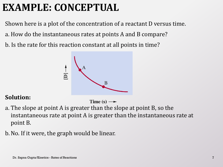# **EXAMPLE: CONCEPTUAL**

Shown here is a plot of the concentration of a reactant D versus time.

- a. How do the instantaneous rates at points A and B compare?
- b. Is the rate for this reaction constant at all points in time?



Time  $(s) \rightarrow$ 

- a. The slope at point A is greater than the slope at point B, so the instantaneous rate at point A is greater than the instantaneous rate at point B.
- b.No. If it were, the graph would be linear.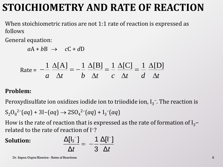### **STOICHIOMETRY AND RATE OF REACTION**

When stoichiometric ratios are not 1:1 rate of reaction is expressed as follows

General equation:

 $aA + bB \rightarrow cC + dD$ 

$$
aA + bB \rightarrow cC + dD
$$
  
Rate =  $-\frac{1}{a} \frac{\Delta[A]}{\Delta t} = -\frac{1}{b} \frac{\Delta[B]}{\Delta t} = \frac{1}{c} \frac{\Delta[C]}{\Delta t} = \frac{1}{d} \frac{\Delta[D]}{\Delta t}$ 

#### **Problem:**

Peroxydisulfate ion oxidizes iodide ion to triiodide ion,  $I_3^-$ . The reaction is

$$
S_2O_8^{2-}(aq) + 3I-(aq) \rightarrow 2SO_4^{2-}(aq) + I_3^{-}(aq)
$$

How is the rate of reaction that is expressed as the rate of formation of  $I_3$ − related to the rate of reaction of I<sup>−</sup>?

$$
\frac{\Delta[\mathsf{l}_3^-]}{\Delta t} = -\frac{1}{3} \frac{\Delta[\mathsf{l}^-]}{\Delta t}
$$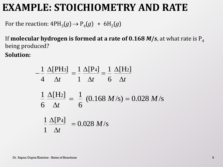### **EXAMPLE: STOICHIOMETRY AND RATE**

For the reaction:  $4PH_3(g) \rightarrow P_4(g) + 6H_2(g)$ 

If **molecular hydrogen is formed at a rate of 0.168**  $M/s$ **,** at what rate is  $P_4$ being produced?

$$
-\frac{1}{4} \frac{\Delta[\text{PH3}]}{\Delta t} = \frac{1}{1} \frac{\Delta[\text{P4}]}{\Delta t} = \frac{1}{6} \frac{\Delta[\text{H2}]}{\Delta t}
$$

$$
\frac{1}{6} \frac{\Delta[\text{H2}]}{\Delta t} = \frac{1}{6} (0.168 \text{ M/s}) = 0.028 \text{ M/s}
$$

$$
\frac{1}{1} \frac{\Delta[\text{P4}]}{\Delta t} = 0.028 \text{ M/s}
$$